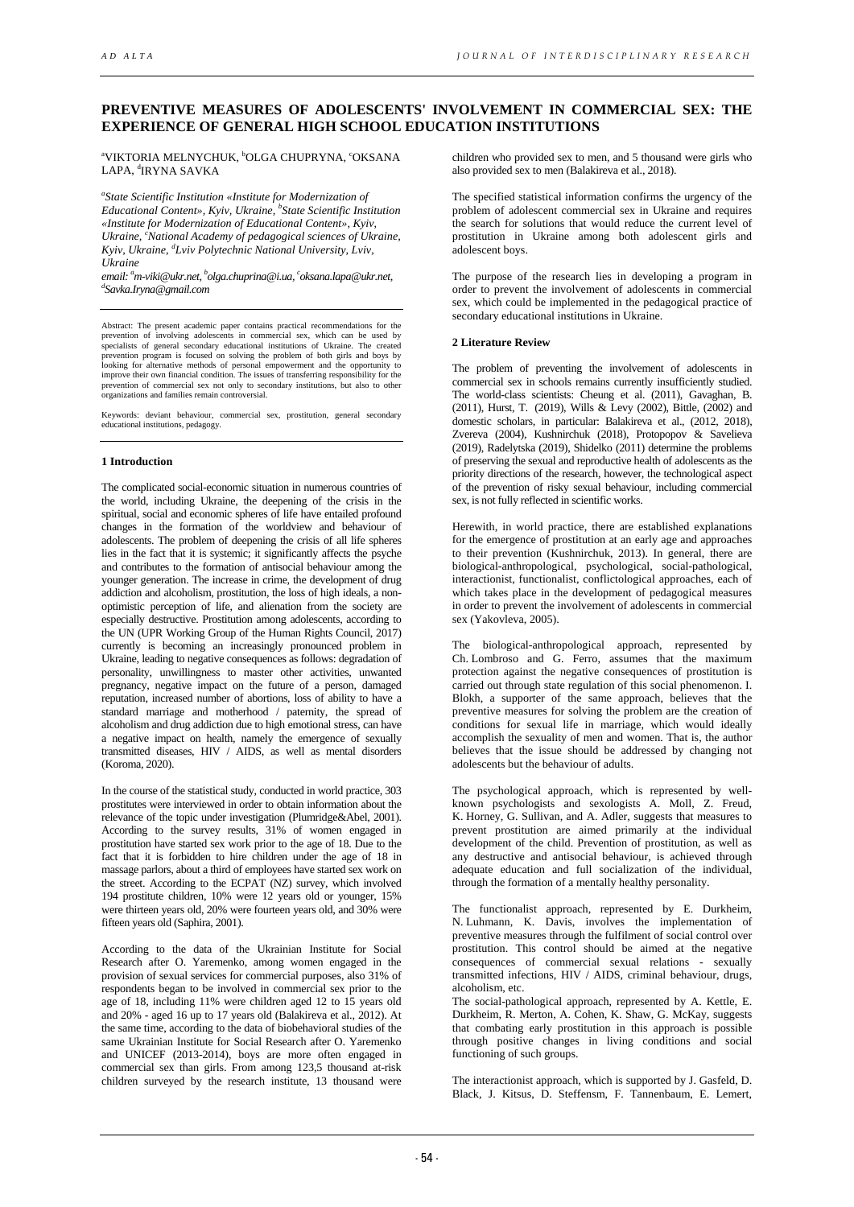# **PREVENTIVE MEASURES OF ADOLESCENTS' INVOLVEMENT IN COMMERCIAL SEX: THE EXPERIENCE OF GENERAL HIGH SCHOOL EDUCATION INSTITUTIONS**

<sup>a</sup>VIKTORIA MELNYCHUK, <sup>b</sup>OLGA CHUPRYNA, <sup>c</sup>OKSANA LAPA, <sup>d</sup>IRYNA SAVKA

*a State Scientific Institution «Institute for Modernization of Educational Content», Kyiv, Ukraine, <sup>b</sup> State Scientific Institution «Institute for Modernization of Educational Content», Kyiv,*  Ukraine, <sup>c</sup>National Academy of pedagogical sciences of Ukraine, *Kyiv, Ukraine, <sup>d</sup> Lviv Polytechnic National University, Lviv, Ukraine*

*email: a m-viki@ukr.net, b olga.chuprina@i.ua, c oksana.lapa@ukr.net, d Savka.Iryna@gmail.com*

Abstract: The present academic paper contains practical recommendations for the prevention of involving adolescents in commercial sex, which can be used by<br>specialists of general secondary educational institutions of Ukraine. The created<br>prevention program is focused on solving the problem of both gir looking for alternative methods of personal empowerment and the opportunity to improve their own financial condition. The issues of transferring responsibility for the prevention of commercial sex not only to secondary institutions, but also to other organizations and families remain controversial.

Keywords: deviant behaviour, commercial sex, prostitution, general secondary cational institutions, pedagogy.

## **1 Introduction**

The complicated social-economic situation in numerous countries of the world, including Ukraine, the deepening of the crisis in the spiritual, social and economic spheres of life have entailed profound changes in the formation of the worldview and behaviour of adolescents. The problem of deepening the crisis of all life spheres lies in the fact that it is systemic; it significantly affects the psyche and contributes to the formation of antisocial behaviour among the younger generation. The increase in crime, the development of drug addiction and alcoholism, prostitution, the loss of high ideals, a nonoptimistic perception of life, and alienation from the society are especially destructive. Prostitution among adolescents, according to the UN (UPR Working Group of the Human Rights Council, 2017) currently is becoming an increasingly pronounced problem in Ukraine, leading to negative consequences as follows: degradation of personality, unwillingness to master other activities, unwanted pregnancy, negative impact on the future of a person, damaged reputation, increased number of abortions, loss of ability to have a standard marriage and motherhood / paternity, the spread of alcoholism and drug addiction due to high emotional stress, can have a negative impact on health, namely the emergence of sexually transmitted diseases, HIV / AIDS, as well as mental disorders (Koroma, 2020).

In the course of the statistical study, conducted in world practice, 303 prostitutes were interviewed in order to obtain information about the relevance of the topic under investigation (Plumridge&Abel, 2001). According to the survey results, 31% of women engaged in prostitution have started sex work prior to the age of 18. Due to the fact that it is forbidden to hire children under the age of 18 in massage parlors, about a third of employees have started sex work on the street. According to the ECPAT (NZ) survey, which involved 194 prostitute children, 10% were 12 years old or younger, 15% were thirteen years old, 20% were fourteen years old, and 30% were fifteen years old (Saphira, 2001).

According to the data of the Ukrainian Institute for Social Research after O. Yaremenko, among women engaged in the provision of sexual services for commercial purposes, also 31% of respondents began to be involved in commercial sex prior to the age of 18, including 11% were children aged 12 to 15 years old and 20% - aged 16 up to 17 years old (Balakireva et al., 2012). At the same time, according to the data of biobehavioral studies of the same Ukrainian Institute for Social Research after O. Yaremenko and UNICEF (2013-2014), boys are more often engaged in commercial sex than girls. From among 123,5 thousand at-risk children surveyed by the research institute, 13 thousand were

children who provided sex to men, and 5 thousand were girls who also provided sex to men (Balakireva et al., 2018).

The specified statistical information confirms the urgency of the problem of adolescent commercial sex in Ukraine and requires the search for solutions that would reduce the current level of prostitution in Ukraine among both adolescent girls and adolescent boys.

The purpose of the research lies in developing a program in order to prevent the involvement of adolescents in commercial sex, which could be implemented in the pedagogical practice of secondary educational institutions in Ukraine.

#### **2 Literature Review**

The problem of preventing the involvement of adolescents in commercial sex in schools remains currently insufficiently studied. The world-class scientists: Cheung et al. (2011), Gavaghan, B. (2011), Hurst, T. (2019), Wills & Levy (2002), Bittle, (2002) and domestic scholars, in particular: Balakireva et al., (2012, 2018), Zvereva (2004), Kushnirchuk (2018), Protopopov & Savelieva (2019), Radelytska (2019), Shidelko (2011) determine the problems of preserving the sexual and reproductive health of adolescents as the priority directions of the research, however, the technological aspect of the prevention of risky sexual behaviour, including commercial sex, is not fully reflected in scientific works.

Herewith, in world practice, there are established explanations for the emergence of prostitution at an early age and approaches to their prevention (Kushnirchuk, 2013). In general, there are biological-anthropological, psychological, social-pathological, interactionist, functionalist, conflictological approaches, each of which takes place in the development of pedagogical measures in order to prevent the involvement of adolescents in commercial sex (Yakovleva, 2005).

The biological-anthropological approach, represented by Ch. Lombroso and G. Ferro, assumes that the maximum protection against the negative consequences of prostitution is carried out through state regulation of this social phenomenon. I. Blokh, a supporter of the same approach, believes that the preventive measures for solving the problem are the creation of conditions for sexual life in marriage, which would ideally accomplish the sexuality of men and women. That is, the author believes that the issue should be addressed by changing not adolescents but the behaviour of adults.

The psychological approach, which is represented by wellknown psychologists and sexologists A. Moll, Z. Freud, K. Horney, G. Sullivan, and A. Adler, suggests that measures to prevent prostitution are aimed primarily at the individual development of the child. Prevention of prostitution, as well as any destructive and antisocial behaviour, is achieved through adequate education and full socialization of the individual, through the formation of a mentally healthy personality.

The functionalist approach, represented by E. Durkheim, N. Luhmann, K. Davis, involves the implementation of preventive measures through the fulfilment of social control over prostitution. This control should be aimed at the negative consequences of commercial sexual relations - sexually transmitted infections, HIV / AIDS, criminal behaviour, drugs, alcoholism, etc.

The social-pathological approach, represented by A. Kettle, E. Durkheim, R. Merton, A. Cohen, K. Shaw, G. McKay, suggests that combating early prostitution in this approach is possible through positive changes in living conditions and social functioning of such groups.

The interactionist approach, which is supported by J. Gasfeld, D. Black, J. Kitsus, D. Steffensm, F. Tannenbaum, E. Lemert,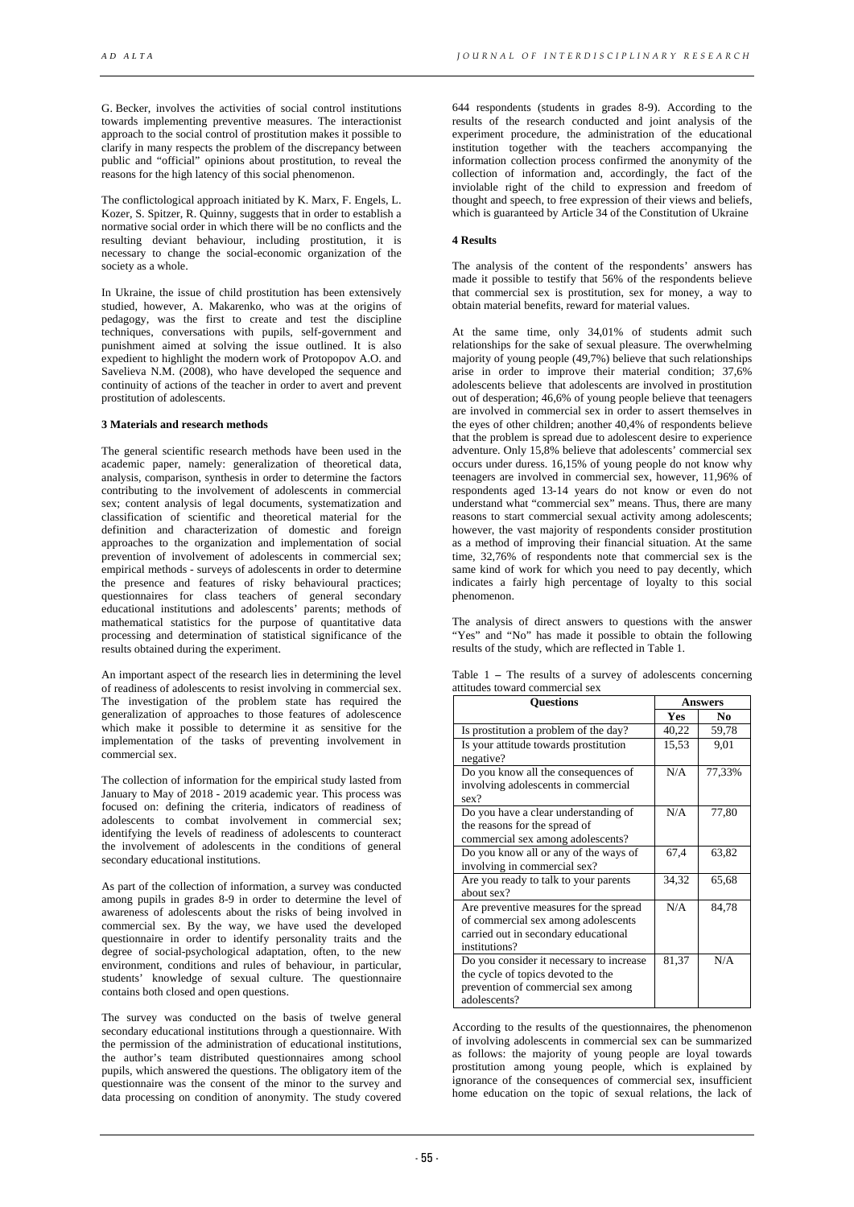G. Becker, involves the activities of social control institutions towards implementing preventive measures. The interactionist approach to the social control of prostitution makes it possible to clarify in many respects the problem of the discrepancy between public and "official" opinions about prostitution, to reveal the reasons for the high latency of this social phenomenon.

The conflictological approach initiated by K. Marx, F. Engels, L. Kozer, S. Spitzer, R. Quinny, suggests that in order to establish a normative social order in which there will be no conflicts and the resulting deviant behaviour, including prostitution, it is necessary to change the social-economic organization of the society as a whole.

In Ukraine, the issue of child prostitution has been extensively studied, however, A. Makarenko, who was at the origins of pedagogy, was the first to create and test the discipline techniques, conversations with pupils, self-government and punishment aimed at solving the issue outlined. It is also expedient to highlight the modern work of Protopopov A.O. and Savelieva N.M. (2008), who have developed the sequence and continuity of actions of the teacher in order to avert and prevent prostitution of adolescents.

## **3 Materials and research methods**

The general scientific research methods have been used in the academic paper, namely: generalization of theoretical data, analysis, comparison, synthesis in order to determine the factors contributing to the involvement of adolescents in commercial sex; content analysis of legal documents, systematization and classification of scientific and theoretical material for the definition and characterization of domestic and foreign approaches to the organization and implementation of social prevention of involvement of adolescents in commercial sex; empirical methods - surveys of adolescents in order to determine the presence and features of risky behavioural practices; questionnaires for class teachers of general secondary educational institutions and adolescents' parents; methods of mathematical statistics for the purpose of quantitative data processing and determination of statistical significance of the results obtained during the experiment.

An important aspect of the research lies in determining the level of readiness of adolescents to resist involving in commercial sex. The investigation of the problem state has required the generalization of approaches to those features of adolescence which make it possible to determine it as sensitive for the implementation of the tasks of preventing involvement in commercial sex.

The collection of information for the empirical study lasted from January to May of 2018 - 2019 academic year. This process was focused on: defining the criteria, indicators of readiness of adolescents to combat involvement in commercial sex; identifying the levels of readiness of adolescents to counteract the involvement of adolescents in the conditions of general secondary educational institutions.

As part of the collection of information, a survey was conducted among pupils in grades 8-9 in order to determine the level of awareness of adolescents about the risks of being involved in commercial sex. By the way, we have used the developed questionnaire in order to identify personality traits and the degree of social-psychological adaptation, often, to the new environment, conditions and rules of behaviour, in particular, students' knowledge of sexual culture. The questionnaire contains both closed and open questions.

The survey was conducted on the basis of twelve general secondary educational institutions through a questionnaire. With the permission of the administration of educational institutions, the author's team distributed questionnaires among school pupils, which answered the questions. The obligatory item of the questionnaire was the consent of the minor to the survey and data processing on condition of anonymity. The study covered

644 respondents (students in grades 8-9). According to the results of the research conducted and joint analysis of the experiment procedure, the administration of the educational institution together with the teachers accompanying the information collection process confirmed the anonymity of the collection of information and, accordingly, the fact of the inviolable right of the child to expression and freedom of thought and speech, to free expression of their views and beliefs, which is guaranteed by Article 34 of the Constitution of Ukraine

# **4 Results**

The analysis of the content of the respondents' answers has made it possible to testify that 56% of the respondents believe that commercial sex is prostitution, sex for money, a way to obtain material benefits, reward for material values.

At the same time, only 34,01% of students admit such relationships for the sake of sexual pleasure. The overwhelming majority of young people (49,7%) believe that such relationships arise in order to improve their material condition; 37,6% adolescents believe that adolescents are involved in prostitution out of desperation; 46,6% of young people believe that teenagers are involved in commercial sex in order to assert themselves in the eyes of other children; another 40,4% of respondents believe that the problem is spread due to adolescent desire to experience adventure. Only 15,8% believe that adolescents' commercial sex occurs under duress. 16,15% of young people do not know why teenagers are involved in commercial sex, however, 11,96% of respondents aged 13-14 years do not know or even do not understand what "commercial sex" means. Thus, there are many reasons to start commercial sexual activity among adolescents; however, the vast majority of respondents consider prostitution as a method of improving their financial situation. At the same time, 32,76% of respondents note that commercial sex is the same kind of work for which you need to pay decently, which indicates a fairly high percentage of loyalty to this social phenomenon.

The analysis of direct answers to questions with the answer "Yes" and "No" has made it possible to obtain the following results of the study, which are reflected in Table 1.

| <b>Ouestions</b>                                                                                                                       | <b>Answers</b> |        |  |  |  |
|----------------------------------------------------------------------------------------------------------------------------------------|----------------|--------|--|--|--|
|                                                                                                                                        | Yes            | No.    |  |  |  |
| Is prostitution a problem of the day?                                                                                                  | 40,22          | 59,78  |  |  |  |
| Is your attitude towards prostitution<br>negative?                                                                                     | 15,53          | 9,01   |  |  |  |
| Do you know all the consequences of<br>involving adolescents in commercial<br>sex?                                                     | N/A            | 77,33% |  |  |  |
| Do you have a clear understanding of<br>the reasons for the spread of<br>commercial sex among adolescents?                             | N/A            | 77,80  |  |  |  |
| Do you know all or any of the ways of<br>involving in commercial sex?                                                                  | 67,4           | 63,82  |  |  |  |
| Are you ready to talk to your parents<br>about sex?                                                                                    | 34,32          | 65,68  |  |  |  |
| Are preventive measures for the spread<br>of commercial sex among adolescents<br>carried out in secondary educational<br>institutions? | N/A            | 84.78  |  |  |  |
| Do you consider it necessary to increase<br>the cycle of topics devoted to the<br>prevention of commercial sex among<br>adolescents?   | 81,37          | N/A    |  |  |  |

Table 1 **–** The results of a survey of adolescents concerning attitudes toward commercial sex

According to the results of the questionnaires, the phenomenon of involving adolescents in commercial sex can be summarized as follows: the majority of young people are loyal towards prostitution among young people, which is explained by ignorance of the consequences of commercial sex, insufficient home education on the topic of sexual relations, the lack of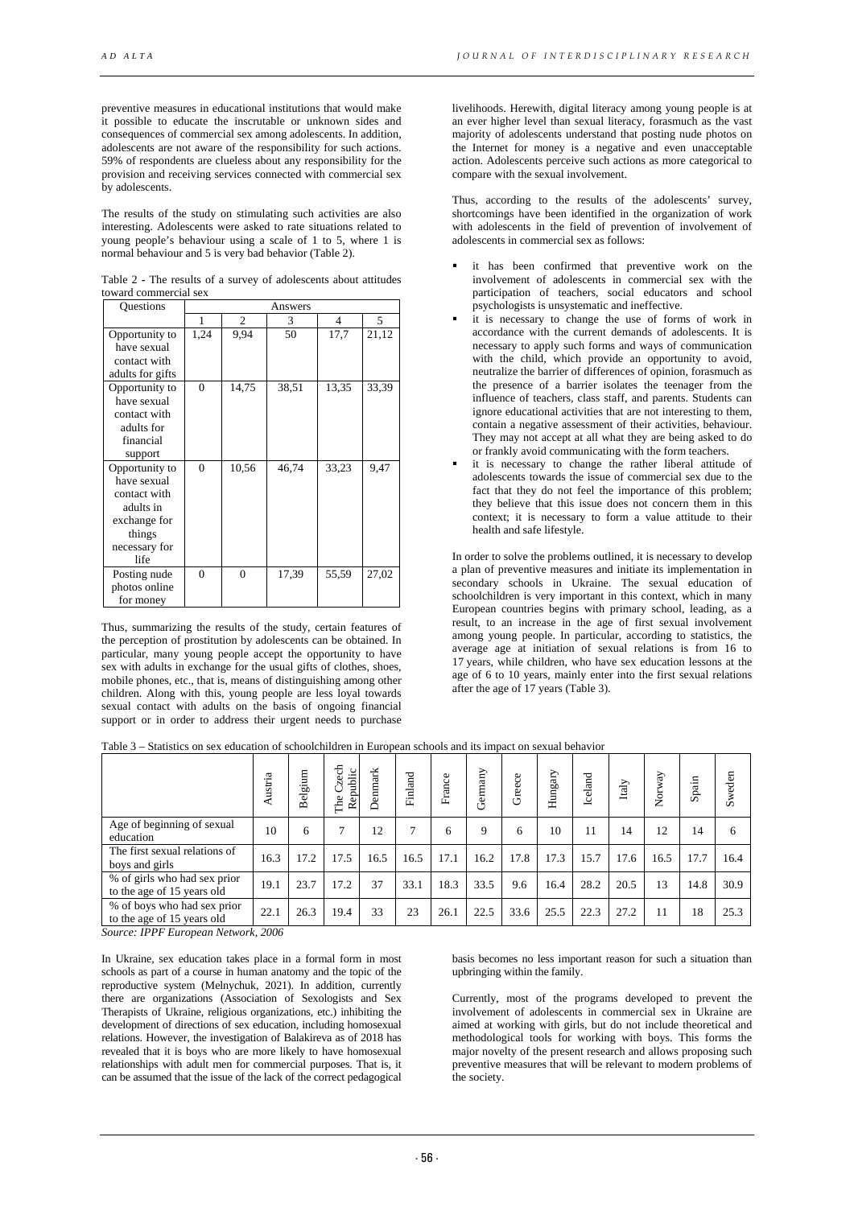preventive measures in educational institutions that would make it possible to educate the inscrutable or unknown sides and consequences of commercial sex among adolescents. In addition, adolescents are not aware of the responsibility for such actions. 59% of respondents are clueless about any responsibility for the provision and receiving services connected with commercial sex by adolescents.

The results of the study on stimulating such activities are also interesting. Adolescents were asked to rate situations related to young people's behaviour using a scale of 1 to 5, where 1 is normal behaviour and 5 is very bad behavior (Table 2).

Table 2 **-** The results of a survey of adolescents about attitudes toward commercial sex

| <b>Ouestions</b> | Answers      |       |       |       |       |  |  |  |
|------------------|--------------|-------|-------|-------|-------|--|--|--|
|                  | 1            | 2     | 3     | 4     | 5.    |  |  |  |
| Opportunity to   | 1,24         | 9,94  | 50    | 17,7  | 21,12 |  |  |  |
| have sexual      |              |       |       |       |       |  |  |  |
| contact with     |              |       |       |       |       |  |  |  |
| adults for gifts |              |       |       |       |       |  |  |  |
| Opportunity to   | $\Omega$     | 14,75 | 38,51 | 13,35 | 33,39 |  |  |  |
| have sexual      |              |       |       |       |       |  |  |  |
| contact with     |              |       |       |       |       |  |  |  |
| adults for       |              |       |       |       |       |  |  |  |
| financial        |              |       |       |       |       |  |  |  |
| support          |              |       |       |       |       |  |  |  |
| Opportunity to   | $\mathbf{0}$ | 10,56 | 46,74 | 33,23 | 9,47  |  |  |  |
| have sexual      |              |       |       |       |       |  |  |  |
| contact with     |              |       |       |       |       |  |  |  |
| adults in        |              |       |       |       |       |  |  |  |
| exchange for     |              |       |       |       |       |  |  |  |
| things           |              |       |       |       |       |  |  |  |
| necessary for    |              |       |       |       |       |  |  |  |
| life             |              |       |       |       |       |  |  |  |
| Posting nude     | $\theta$     | 0     | 17,39 | 55,59 | 27,02 |  |  |  |
| photos online    |              |       |       |       |       |  |  |  |
| for money        |              |       |       |       |       |  |  |  |

Thus, summarizing the results of the study, certain features of the perception of prostitution by adolescents can be obtained. In particular, many young people accept the opportunity to have sex with adults in exchange for the usual gifts of clothes, shoes, mobile phones, etc., that is, means of distinguishing among other children. Along with this, young people are less loyal towards sexual contact with adults on the basis of ongoing financial support or in order to address their urgent needs to purchase

livelihoods. Herewith, digital literacy among young people is at an ever higher level than sexual literacy, forasmuch as the vast majority of adolescents understand that posting nude photos on the Internet for money is a negative and even unacceptable action. Adolescents perceive such actions as more categorical to compare with the sexual involvement.

Thus, according to the results of the adolescents' survey, shortcomings have been identified in the organization of work with adolescents in the field of prevention of involvement of adolescents in commercial sex as follows:

- it has been confirmed that preventive work on the involvement of adolescents in commercial sex with the participation of teachers, social educators and school psychologists is unsystematic and ineffective.
- it is necessary to change the use of forms of work in accordance with the current demands of adolescents. It is necessary to apply such forms and ways of communication with the child, which provide an opportunity to avoid, neutralize the barrier of differences of opinion, forasmuch as the presence of a barrier isolates the teenager from the influence of teachers, class staff, and parents. Students can ignore educational activities that are not interesting to them, contain a negative assessment of their activities, behaviour. They may not accept at all what they are being asked to do or frankly avoid communicating with the form teachers.
- it is necessary to change the rather liberal attitude of adolescents towards the issue of commercial sex due to the fact that they do not feel the importance of this problem; they believe that this issue does not concern them in this context; it is necessary to form a value attitude to their health and safe lifestyle.

In order to solve the problems outlined, it is necessary to develop a plan of preventive measures and initiate its implementation in secondary schools in Ukraine. The sexual education of schoolchildren is very important in this context, which in many European countries begins with primary school, leading, as a result, to an increase in the age of first sexual involvement among young people. In particular, according to statistics, the average age at initiation of sexual relations is from 16 to 17 years, while children, who have sex education lessons at the age of 6 to 10 years, mainly enter into the first sexual relations after the age of 17 years (Table 3).

|                                                                                                                                                                                                                                                                                                               | ustria | m<br>٠.<br>äò<br>ಕ<br>≃ | et<br>Republic<br>Ü<br>The | Denmark | Finland | France | Germany     | Greece | Hungary | Iceland | $_{\mathrm{Italy}}$ | Norway | Spain | Sweden |
|---------------------------------------------------------------------------------------------------------------------------------------------------------------------------------------------------------------------------------------------------------------------------------------------------------------|--------|-------------------------|----------------------------|---------|---------|--------|-------------|--------|---------|---------|---------------------|--------|-------|--------|
| Age of beginning of sexual<br>education                                                                                                                                                                                                                                                                       | 10     | 6                       | ┑                          | 12      |         | 6      | $\mathbf Q$ | 6      | 10      | 11      | 14                  | 12     | 14    | 6      |
| The first sexual relations of<br>boys and girls                                                                                                                                                                                                                                                               | 16.3   | 17.2                    | 17.5                       | 16.5    | 16.5    | 17.1   | 16.2        | 17.8   | 17.3    | 15.7    | 17.6                | 16.5   | 17.7  | 16.4   |
| % of girls who had sex prior<br>to the age of 15 years old                                                                                                                                                                                                                                                    | 19.1   | 23.7                    | 17.2                       | 37      | 33.1    | 18.3   | 33.5        | 9.6    | 16.4    | 28.2    | 20.5                | 13     | 14.8  | 30.9   |
| % of boys who had sex prior<br>to the age of 15 years old<br>$0.006$ TDDF $F_{1}$ and $F_{2}$ and $F_{3}$ and $F_{4}$ and $F_{5}$ and $F_{6}$ and $F_{7}$ and $F_{8}$ and $F_{9}$ and $F_{1}$ and $F_{1}$ and $F_{1}$ and $F_{1}$ and $F_{1}$ and $F_{1}$ and $F_{1}$ and $F_{1}$ and $F_{1}$ and $F_{1}$ and | 22.1   | 26.3                    | 19.4                       | 33      | 23      | 26.1   | 22.5        | 33.6   | 25.5    | 22.3    | 27.2                | 11     | 18    | 25.3   |

Table 3 – Statistics on sex education of schoolchildren in European schools and its impact on sexual behavior

*Source: IPPF European Network, 2006*

In Ukraine, sex education takes place in a formal form in most schools as part of a course in human anatomy and the topic of the reproductive system (Melnychuk, 2021). In addition, currently there are organizations (Association of Sexologists and Sex Therapists of Ukraine, religious organizations, etc.) inhibiting the development of directions of sex education, including homosexual relations. However, the investigation of Balakireva as of 2018 has revealed that it is boys who are more likely to have homosexual relationships with adult men for commercial purposes. That is, it can be assumed that the issue of the lack of the correct pedagogical

basis becomes no less important reason for such a situation than upbringing within the family.

Currently, most of the programs developed to prevent the involvement of adolescents in commercial sex in Ukraine are aimed at working with girls, but do not include theoretical and methodological tools for working with boys. This forms the major novelty of the present research and allows proposing such preventive measures that will be relevant to modern problems of the society.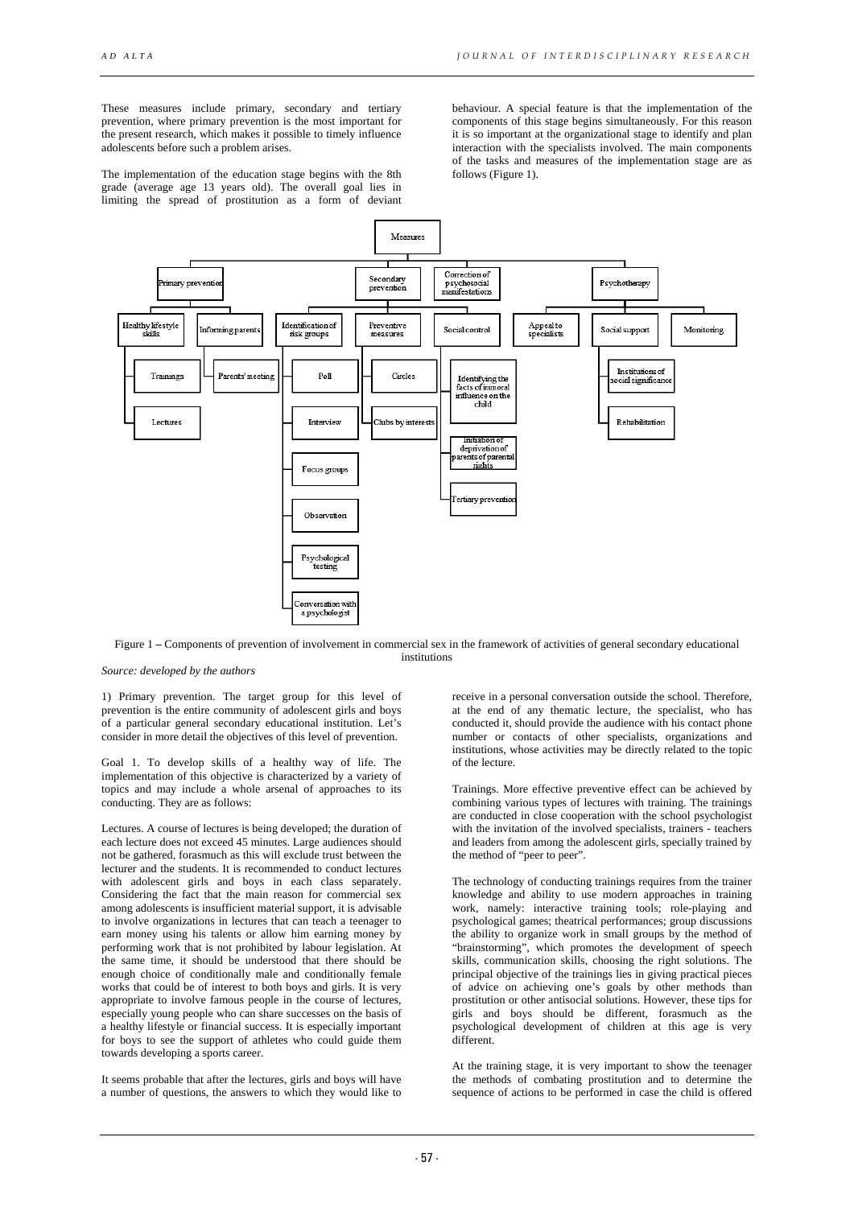These measures include primary, secondary and tertiary prevention, where primary prevention is the most important for the present research, which makes it possible to timely influence adolescents before such a problem arises.

The implementation of the education stage begins with the 8th grade (average age 13 years old). The overall goal lies in limiting the spread of prostitution as a form of deviant

behaviour. A special feature is that the implementation of the components of this stage begins simultaneously. For this reason it is so important at the organizational stage to identify and plan interaction with the specialists involved. The main components of the tasks and measures of the implementation stage are as follows (Figure 1).



Figure 1 **–** Components of prevention of involvement in commercial sex in the framework of activities of general secondary educational institutions

*Source: developed by the authors*

1) Primary prevention. The target group for this level of prevention is the entire community of adolescent girls and boys of a particular general secondary educational institution. Let's consider in more detail the objectives of this level of prevention.

Goal 1. To develop skills of a healthy way of life. The implementation of this objective is characterized by a variety of topics and may include a whole arsenal of approaches to its conducting. They are as follows:

Lectures. A course of lectures is being developed; the duration of each lecture does not exceed 45 minutes. Large audiences should not be gathered, forasmuch as this will exclude trust between the lecturer and the students. It is recommended to conduct lectures with adolescent girls and boys in each class separately. Considering the fact that the main reason for commercial sex among adolescents is insufficient material support, it is advisable to involve organizations in lectures that can teach a teenager to earn money using his talents or allow him earning money by performing work that is not prohibited by labour legislation. At the same time, it should be understood that there should be enough choice of conditionally male and conditionally female works that could be of interest to both boys and girls. It is very appropriate to involve famous people in the course of lectures, especially young people who can share successes on the basis of a healthy lifestyle or financial success. It is especially important for boys to see the support of athletes who could guide them towards developing a sports career.

It seems probable that after the lectures, girls and boys will have a number of questions, the answers to which they would like to receive in a personal conversation outside the school. Therefore, at the end of any thematic lecture, the specialist, who has conducted it, should provide the audience with his contact phone number or contacts of other specialists, organizations and institutions, whose activities may be directly related to the topic of the lecture.

Trainings. More effective preventive effect can be achieved by combining various types of lectures with training. The trainings are conducted in close cooperation with the school psychologist with the invitation of the involved specialists, trainers - teachers and leaders from among the adolescent girls, specially trained by the method of "peer to peer".

The technology of conducting trainings requires from the trainer knowledge and ability to use modern approaches in training work, namely: interactive training tools; role-playing and psychological games; theatrical performances; group discussions the ability to organize work in small groups by the method of "brainstorming", which promotes the development of speech skills, communication skills, choosing the right solutions. The principal objective of the trainings lies in giving practical pieces of advice on achieving one's goals by other methods than prostitution or other antisocial solutions. However, these tips for girls and boys should be different, forasmuch as the psychological development of children at this age is very different.

At the training stage, it is very important to show the teenager the methods of combating prostitution and to determine the sequence of actions to be performed in case the child is offered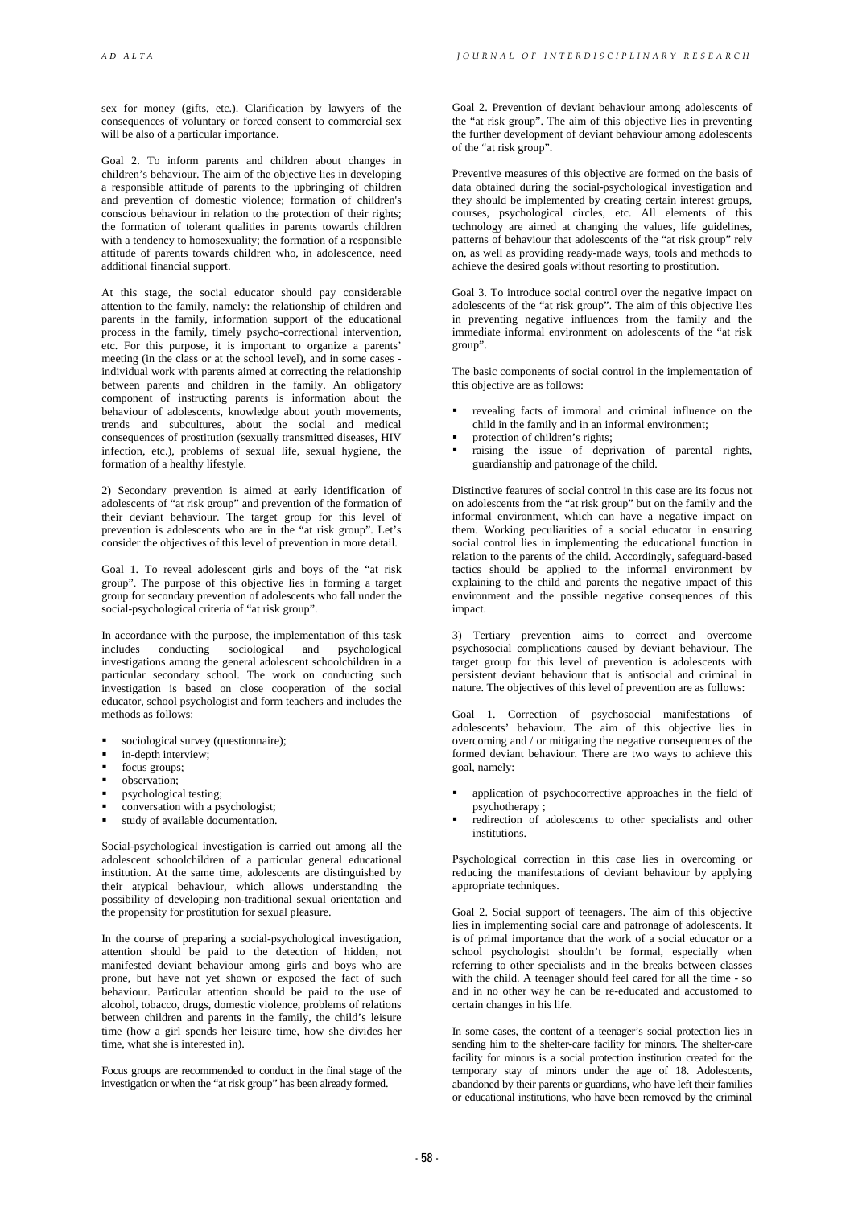sex for money (gifts, etc.). Clarification by lawyers of the consequences of voluntary or forced consent to commercial sex will be also of a particular importance.

Goal 2. To inform parents and children about changes in children's behaviour. The aim of the objective lies in developing a responsible attitude of parents to the upbringing of children and prevention of domestic violence; formation of children's conscious behaviour in relation to the protection of their rights; the formation of tolerant qualities in parents towards children with a tendency to homosexuality; the formation of a responsible attitude of parents towards children who, in adolescence, need additional financial support.

At this stage, the social educator should pay considerable attention to the family, namely: the relationship of children and parents in the family, information support of the educational process in the family, timely psycho-correctional intervention, etc. For this purpose, it is important to organize a parents' meeting (in the class or at the school level), and in some cases individual work with parents aimed at correcting the relationship between parents and children in the family. An obligatory component of instructing parents is information about the behaviour of adolescents, knowledge about youth movements, trends and subcultures, about the social and medical consequences of prostitution (sexually transmitted diseases, HIV infection, etc.), problems of sexual life, sexual hygiene, the formation of a healthy lifestyle.

2) Secondary prevention is aimed at early identification of adolescents of "at risk group" and prevention of the formation of their deviant behaviour. The target group for this level of prevention is adolescents who are in the "at risk group". Let's consider the objectives of this level of prevention in more detail.

Goal 1. To reveal adolescent girls and boys of the "at risk group". The purpose of this objective lies in forming a target group for secondary prevention of adolescents who fall under the social-psychological criteria of "at risk group".

In accordance with the purpose, the implementation of this task<br>includes conducting sociological and psychological conducting sociological and psychological investigations among the general adolescent schoolchildren in a particular secondary school. The work on conducting such investigation is based on close cooperation of the social educator, school psychologist and form teachers and includes the methods as follows:

- sociological survey (questionnaire);
- in-depth interview;
- focus groups;
- observation;
- psychological testing;
- conversation with a psychologist;
- study of available documentation.

Social-psychological investigation is carried out among all the adolescent schoolchildren of a particular general educational institution. At the same time, adolescents are distinguished by their atypical behaviour, which allows understanding the possibility of developing non-traditional sexual orientation and the propensity for prostitution for sexual pleasure.

In the course of preparing a social-psychological investigation, attention should be paid to the detection of hidden, not manifested deviant behaviour among girls and boys who are prone, but have not yet shown or exposed the fact of such behaviour. Particular attention should be paid to the use of alcohol, tobacco, drugs, domestic violence, problems of relations between children and parents in the family, the child's leisure time (how a girl spends her leisure time, how she divides her time, what she is interested in).

Focus groups are recommended to conduct in the final stage of the investigation or when the "at risk group" has been already formed.

Goal 2. Prevention of deviant behaviour among adolescents of the "at risk group". The aim of this objective lies in preventing the further development of deviant behaviour among adolescents of the "at risk group".

Preventive measures of this objective are formed on the basis of data obtained during the social-psychological investigation and they should be implemented by creating certain interest groups, courses, psychological circles, etc. All elements of this technology are aimed at changing the values, life guidelines, patterns of behaviour that adolescents of the "at risk group" rely on, as well as providing ready-made ways, tools and methods to achieve the desired goals without resorting to prostitution.

Goal 3. To introduce social control over the negative impact on adolescents of the "at risk group". The aim of this objective lies in preventing negative influences from the family and the immediate informal environment on adolescents of the "at risk group".

The basic components of social control in the implementation of this objective are as follows:

- revealing facts of immoral and criminal influence on the child in the family and in an informal environment;
- protection of children's rights;
- raising the issue of deprivation of parental rights, guardianship and patronage of the child.

Distinctive features of social control in this case are its focus not on adolescents from the "at risk group" but on the family and the informal environment, which can have a negative impact on them. Working peculiarities of a social educator in ensuring social control lies in implementing the educational function in relation to the parents of the child. Accordingly, safeguard-based tactics should be applied to the informal environment by explaining to the child and parents the negative impact of this environment and the possible negative consequences of this impact.

3) Tertiary prevention aims to correct and overcome psychosocial complications caused by deviant behaviour. The target group for this level of prevention is adolescents with persistent deviant behaviour that is antisocial and criminal in nature. The objectives of this level of prevention are as follows:

Goal 1. Correction of psychosocial manifestations of adolescents' behaviour. The aim of this objective lies in overcoming and / or mitigating the negative consequences of the formed deviant behaviour. There are two ways to achieve this goal, namely:

- application of psychocorrective approaches in the field of psychotherapy ;
- redirection of adolescents to other specialists and other institutions.

Psychological correction in this case lies in overcoming or reducing the manifestations of deviant behaviour by applying appropriate techniques.

Goal 2. Social support of teenagers. The aim of this objective lies in implementing social care and patronage of adolescents. It is of primal importance that the work of a social educator or a school psychologist shouldn't be formal, especially when referring to other specialists and in the breaks between classes with the child. A teenager should feel cared for all the time - so and in no other way he can be re-educated and accustomed to certain changes in his life.

In some cases, the content of a teenager's social protection lies in sending him to the shelter-care facility for minors. The shelter-care facility for minors is a social protection institution created for the temporary stay of minors under the age of 18. Adolescents, abandoned by their parents or guardians, who have left their families or educational institutions, who have been removed by the criminal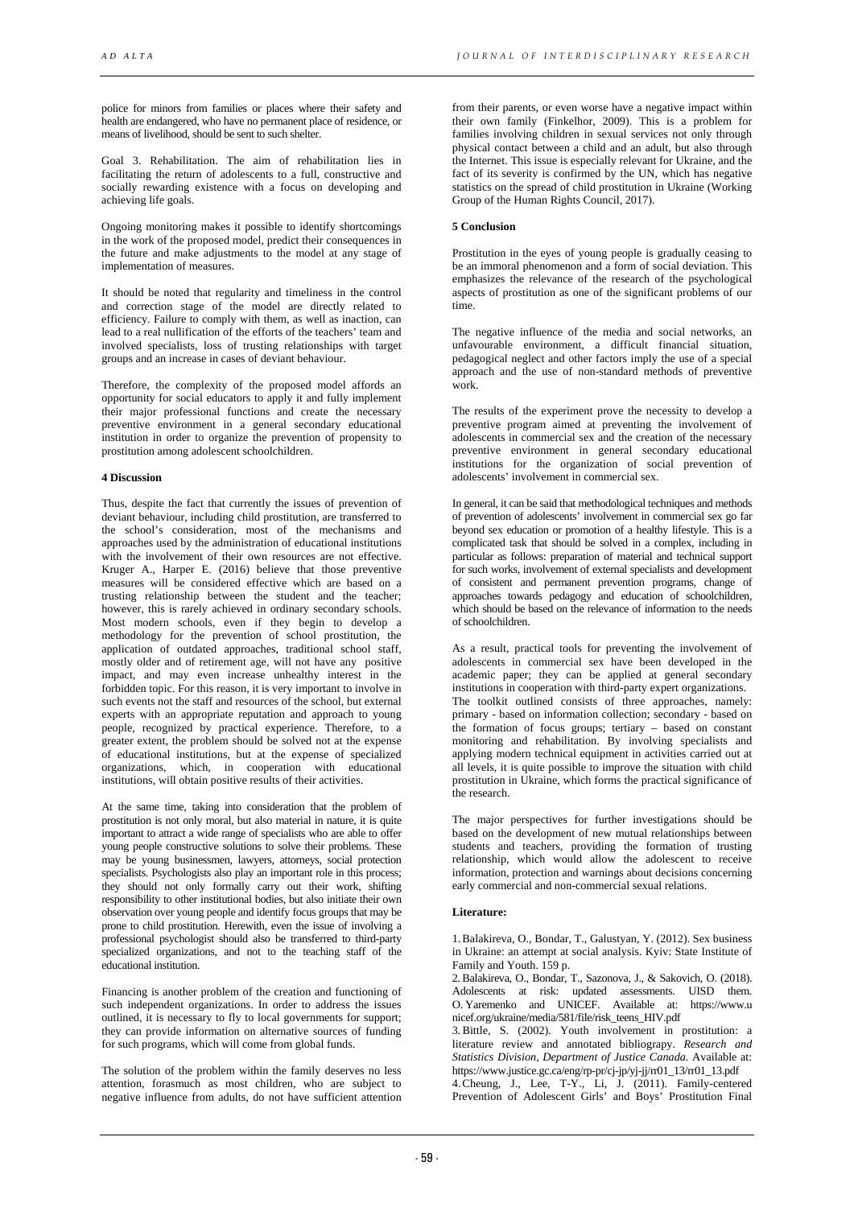police for minors from families or places where their safety and health are endangered, who have no permanent place of residence, or means of livelihood, should be sent to such shelter.

Goal 3. Rehabilitation. The aim of rehabilitation lies in facilitating the return of adolescents to a full, constructive and socially rewarding existence with a focus on developing and achieving life goals.

Ongoing monitoring makes it possible to identify shortcomings in the work of the proposed model, predict their consequences in the future and make adjustments to the model at any stage of implementation of measures.

It should be noted that regularity and timeliness in the control and correction stage of the model are directly related to efficiency. Failure to comply with them, as well as inaction, can lead to a real nullification of the efforts of the teachers' team and involved specialists, loss of trusting relationships with target groups and an increase in cases of deviant behaviour.

Therefore, the complexity of the proposed model affords an opportunity for social educators to apply it and fully implement their major professional functions and create the necessary preventive environment in a general secondary educational institution in order to organize the prevention of propensity to prostitution among adolescent schoolchildren.

#### **4 Discussion**

Thus, despite the fact that currently the issues of prevention of deviant behaviour, including child prostitution, are transferred to the school's consideration, most of the mechanisms and approaches used by the administration of educational institutions with the involvement of their own resources are not effective. Kruger A., Harper E. (2016) believe that those preventive measures will be considered effective which are based on a trusting relationship between the student and the teacher; however, this is rarely achieved in ordinary secondary schools. Most modern schools, even if they begin to develop a methodology for the prevention of school prostitution, the application of outdated approaches, traditional school staff, mostly older and of retirement age, will not have any positive impact, and may even increase unhealthy interest in the forbidden topic. For this reason, it is very important to involve in such events not the staff and resources of the school, but external experts with an appropriate reputation and approach to young people, recognized by practical experience. Therefore, to a greater extent, the problem should be solved not at the expense of educational institutions, but at the expense of specialized organizations, which, in cooperation with educational institutions, will obtain positive results of their activities.

At the same time, taking into consideration that the problem of prostitution is not only moral, but also material in nature, it is quite important to attract a wide range of specialists who are able to offer young people constructive solutions to solve their problems. These may be young businessmen, lawyers, attorneys, social protection specialists. Psychologists also play an important role in this process; they should not only formally carry out their work, shifting responsibility to other institutional bodies, but also initiate their own observation over young people and identify focus groups that may be prone to child prostitution. Herewith, even the issue of involving a professional psychologist should also be transferred to third-party specialized organizations, and not to the teaching staff of the educational institution.

Financing is another problem of the creation and functioning of such independent organizations. In order to address the issues outlined, it is necessary to fly to local governments for support; they can provide information on alternative sources of funding for such programs, which will come from global funds.

The solution of the problem within the family deserves no less attention, forasmuch as most children, who are subject to negative influence from adults, do not have sufficient attention

from their parents, or even worse have a negative impact within their own family (Finkelhor, 2009). This is a problem for families involving children in sexual services not only through physical contact between a child and an adult, but also through the Internet. This issue is especially relevant for Ukraine, and the fact of its severity is confirmed by the UN, which has negative statistics on the spread of child prostitution in Ukraine (Working Group of the Human Rights Council, 2017).

# **5 Conclusion**

Prostitution in the eyes of young people is gradually ceasing to be an immoral phenomenon and a form of social deviation. This emphasizes the relevance of the research of the psychological aspects of prostitution as one of the significant problems of our time.

The negative influence of the media and social networks, an unfavourable environment, a difficult financial situation, pedagogical neglect and other factors imply the use of a special approach and the use of non-standard methods of preventive work.

The results of the experiment prove the necessity to develop a preventive program aimed at preventing the involvement of adolescents in commercial sex and the creation of the necessary preventive environment in general secondary educational institutions for the organization of social prevention of adolescents' involvement in commercial sex.

In general, it can be said that methodological techniques and methods of prevention of adolescents' involvement in commercial sex go far beyond sex education or promotion of a healthy lifestyle. This is a complicated task that should be solved in a complex, including in particular as follows: preparation of material and technical support for such works, involvement of external specialists and development of consistent and permanent prevention programs, change of approaches towards pedagogy and education of schoolchildren, which should be based on the relevance of information to the needs of schoolchildren.

As a result, practical tools for preventing the involvement of adolescents in commercial sex have been developed in the academic paper; they can be applied at general secondary institutions in cooperation with third-party expert organizations. The toolkit outlined consists of three approaches, namely: primary - based on information collection; secondary - based on the formation of focus groups; tertiary – based on constant monitoring and rehabilitation. By involving specialists and applying modern technical equipment in activities carried out at all levels, it is quite possible to improve the situation with child prostitution in Ukraine, which forms the practical significance of the research.

The major perspectives for further investigations should be based on the development of new mutual relationships between students and teachers, providing the formation of trusting relationship, which would allow the adolescent to receive information, protection and warnings about decisions concerning early commercial and non-commercial sexual relations.

### **Literature:**

1.Balakireva, O., Bondar, T., Galustyan, Y. (2012). Sex business in Ukraine: an attempt at social analysis. Kyiv: State Institute of Family and Youth. 159 p.

2.Balakireva, O., Bondar, T., Sazonova, J., & Sakovich, O. (2018). Adolescents at risk: updated assessments. UISD them. O. Yaremenko and UNICEF. Available at: https://www.u nicef.org/ukraine/media/581/file/risk\_teens\_HIV.pdf

3.Bittle, S. (2002). Youth involvement in prostitution: a literature review and annotated bibliograpy. *Research and Statistics Division, Department of Justice Canada.* Available at: https://www.justice.gc.ca/eng/rp-pr/cj-jp/yj-jj/rr01\_13/rr01\_13.pdf

4.Cheung, J., Lee, T-Y., Li, J. (2011). Family-centered Prevention of Adolescent Girls' and Boys' Prostitution Final